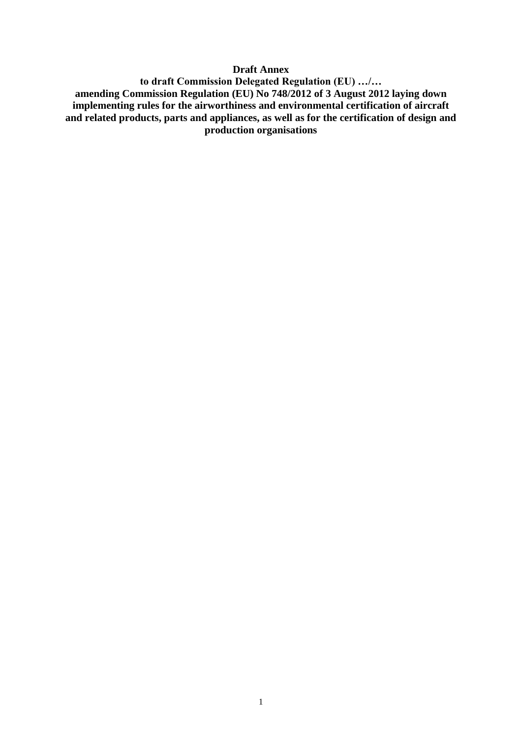### **Draft Annex**

**to draft Commission Delegated Regulation (EU) …/… amending Commission Regulation (EU) No 748/2012 of 3 August 2012 laying down implementing rules for the airworthiness and environmental certification of aircraft and related products, parts and appliances, as well as for the certification of design and production organisations**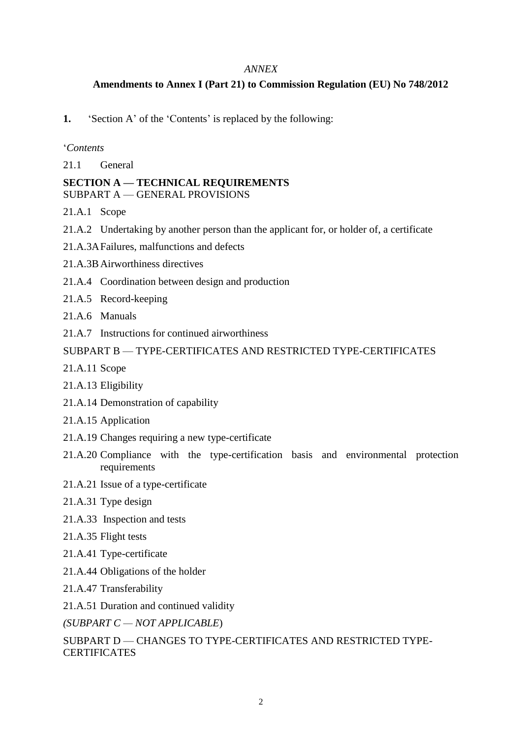### *ANNEX*

# **Amendments to Annex I (Part 21) to Commission Regulation (EU) No 748/2012**

### **1.** 'Section A' of the 'Contents' is replaced by the following:

### '*Contents*

21.1 General

### **SECTION A — TECHNICAL REQUIREMENTS** SUBPART A — GENERAL PROVISIONS

- 21.A.1 Scope
- 21.A.2 Undertaking by another person than the applicant for, or holder of, a certificate
- 21.A.3AFailures, malfunctions and defects
- 21.A.3B Airworthiness directives
- 21.A.4 Coordination between design and production
- 21.A.5 Record-keeping
- 21 A.6 Manuals
- 21.A.7 Instructions for continued airworthiness

# SUBPART B — TYPE-CERTIFICATES AND RESTRICTED TYPE-CERTIFICATES

- 21.A.11 Scope
- 21.A.13 Eligibility
- 21.A.14 Demonstration of capability
- 21.A.15 Application
- 21.A.19 Changes requiring a new type-certificate
- 21.A.20 Compliance with the type-certification basis and environmental protection requirements
- 21.A.21 Issue of a type-certificate
- 21.A.31 Type design
- 21.A.33 Inspection and tests
- 21.A.35 Flight tests
- 21.A.41 Type-certificate
- 21.A.44 Obligations of the holder
- 21.A.47 Transferability
- 21.A.51 Duration and continued validity
- *(SUBPART C — NOT APPLICABLE*)

SUBPART D — CHANGES TO TYPE-CERTIFICATES AND RESTRICTED TYPE-**CERTIFICATES**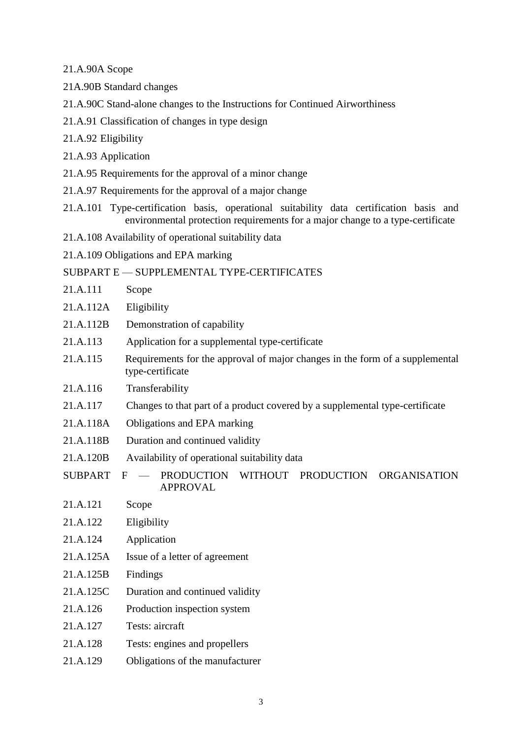21.A.90A Scope

- 21A.90B Standard changes
- 21.A.90C Stand-alone changes to the Instructions for Continued Airworthiness
- 21.A.91 Classification of changes in type design
- 21.A.92 Eligibility
- 21.A.93 Application
- 21.A.95 Requirements for the approval of a minor change
- 21.A.97 Requirements for the approval of a major change
- 21.A.101 Type-certification basis, operational suitability data certification basis and environmental protection requirements for a major change to a type-certificate
- 21.A.108 Availability of operational suitability data
- 21.A.109 Obligations and EPA marking

#### SUBPART E — SUPPLEMENTAL TYPE-CERTIFICATES

- 21.A.111 Scope
- 21.A.112A Eligibility
- 21.A.112B Demonstration of capability
- 21.A.113 Application for a supplemental type-certificate
- 21.A.115 Requirements for the approval of major changes in the form of a supplemental type-certificate
- 21.A.116 Transferability
- 21.A.117 Changes to that part of a product covered by a supplemental type-certificate
- 21.A.118A Obligations and EPA marking
- 21.A.118B Duration and continued validity
- 21.A.120B Availability of operational suitability data
- SUBPART F PRODUCTION WITHOUT PRODUCTION ORGANISATION APPROVAL
- 21.A.121 Scope
- 21.A.122 Eligibility
- 21.A.124 Application
- 21.A.125A Issue of a letter of agreement
- 21.A.125B Findings
- 21.A.125C Duration and continued validity
- 21.A.126 Production inspection system
- 21.A.127 Tests: aircraft
- 21.A.128 Tests: engines and propellers
- 21.A.129 Obligations of the manufacturer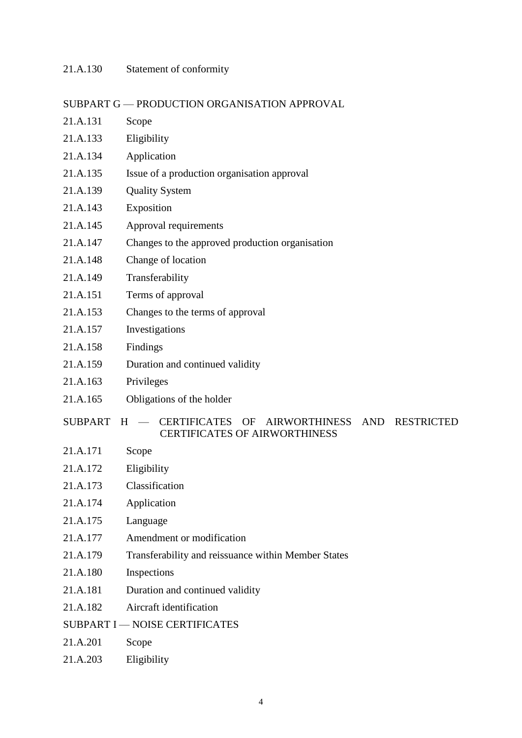# 21.A.130 Statement of conformity

# SUBPART G — PRODUCTION ORGANISATION APPROVAL

| 21.A.131       | Scope                                                                                                                                                         |
|----------------|---------------------------------------------------------------------------------------------------------------------------------------------------------------|
| 21.A.133       | Eligibility                                                                                                                                                   |
| 21.A.134       | Application                                                                                                                                                   |
| 21.A.135       | Issue of a production organisation approval                                                                                                                   |
| 21.A.139       | <b>Quality System</b>                                                                                                                                         |
| 21.A.143       | Exposition                                                                                                                                                    |
| 21.A.145       | Approval requirements                                                                                                                                         |
| 21.A.147       | Changes to the approved production organisation                                                                                                               |
| 21.A.148       | Change of location                                                                                                                                            |
| 21.A.149       | Transferability                                                                                                                                               |
| 21.A.151       | Terms of approval                                                                                                                                             |
| 21.A.153       | Changes to the terms of approval                                                                                                                              |
| 21.A.157       | Investigations                                                                                                                                                |
| 21.A.158       | Findings                                                                                                                                                      |
| 21.A.159       | Duration and continued validity                                                                                                                               |
| 21.A.163       | Privileges                                                                                                                                                    |
| 21.A.165       | Obligations of the holder                                                                                                                                     |
| <b>SUBPART</b> | <b>CERTIFICATES</b><br><b>AND</b><br><b>RESTRICTED</b><br>OF<br><b>AIRWORTHINESS</b><br>H<br>$\overline{\phantom{m}}$<br><b>CERTIFICATES OF AIRWORTHINESS</b> |
| 21.A.171       | Scope                                                                                                                                                         |
| 21.A.172       | Eligibility                                                                                                                                                   |
| 21.A.173       | Classification                                                                                                                                                |
| 21.A.174       | Application                                                                                                                                                   |
| 21.A.175       | Language                                                                                                                                                      |
| 21.A.177       | Amendment or modification                                                                                                                                     |
| 21.A.179       | Transferability and reissuance within Member States                                                                                                           |
| 21.A.180       | Inspections                                                                                                                                                   |
| 21.A.181       | Duration and continued validity                                                                                                                               |
| 21.A.182       | Aircraft identification                                                                                                                                       |
|                | <b>SUBPART I - NOISE CERTIFICATES</b>                                                                                                                         |
| 21.A.201       | Scope                                                                                                                                                         |
|                |                                                                                                                                                               |

21.A.203 Eligibility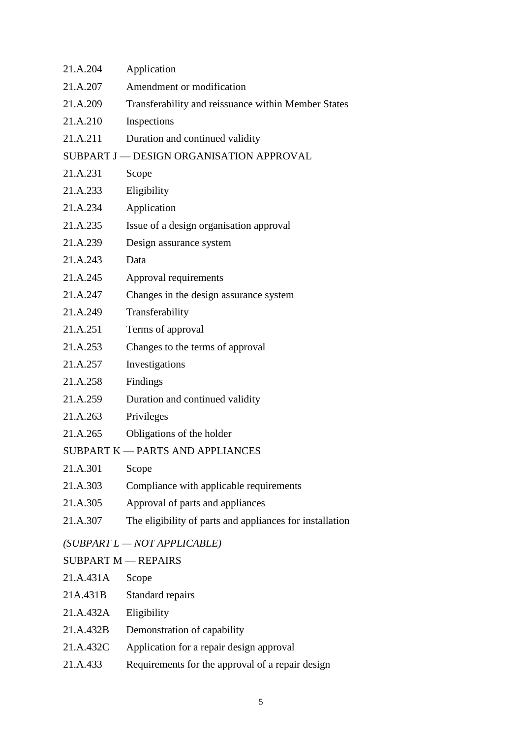| 21.A.204                                 | Application                                              |  |
|------------------------------------------|----------------------------------------------------------|--|
| 21.A.207                                 | Amendment or modification                                |  |
| 21.A.209                                 | Transferability and reissuance within Member States      |  |
| 21.A.210                                 | Inspections                                              |  |
| 21.A.211                                 | Duration and continued validity                          |  |
| SUBPART J - DESIGN ORGANISATION APPROVAL |                                                          |  |
| 21.A.231                                 | Scope                                                    |  |
| 21.A.233                                 | Eligibility                                              |  |
| 21.A.234                                 | Application                                              |  |
| 21.A.235                                 | Issue of a design organisation approval                  |  |
| 21.A.239                                 | Design assurance system                                  |  |
| 21.A.243                                 | Data                                                     |  |
| 21.A.245                                 | Approval requirements                                    |  |
| 21.A.247                                 | Changes in the design assurance system                   |  |
| 21.A.249                                 | Transferability                                          |  |
| 21.A.251                                 | Terms of approval                                        |  |
| 21.A.253                                 | Changes to the terms of approval                         |  |
| 21.A.257                                 | Investigations                                           |  |
| 21.A.258                                 | Findings                                                 |  |
| 21.A.259                                 | Duration and continued validity                          |  |
| 21.A.263                                 | Privileges                                               |  |
| 21.A.265                                 | Obligations of the holder                                |  |
|                                          | SUBPART K - PARTS AND APPLIANCES                         |  |
| 21.A.301                                 | Scope                                                    |  |
| 21.A.303                                 | Compliance with applicable requirements                  |  |
| 21.A.305                                 | Approval of parts and appliances                         |  |
| 21.A.307                                 | The eligibility of parts and appliances for installation |  |
|                                          | $(SUBPART L - NOT APPLICATION)$                          |  |
| <b>SUBPART M - REPAIRS</b>               |                                                          |  |
| 21.A.431A                                | Scope                                                    |  |
| 21A.431B                                 | Standard repairs                                         |  |
| 21.A.432A                                | Eligibility                                              |  |

- 21.A.432B Demonstration of capability
- 21.A.432C Application for a repair design approval
- 21.A.433 Requirements for the approval of a repair design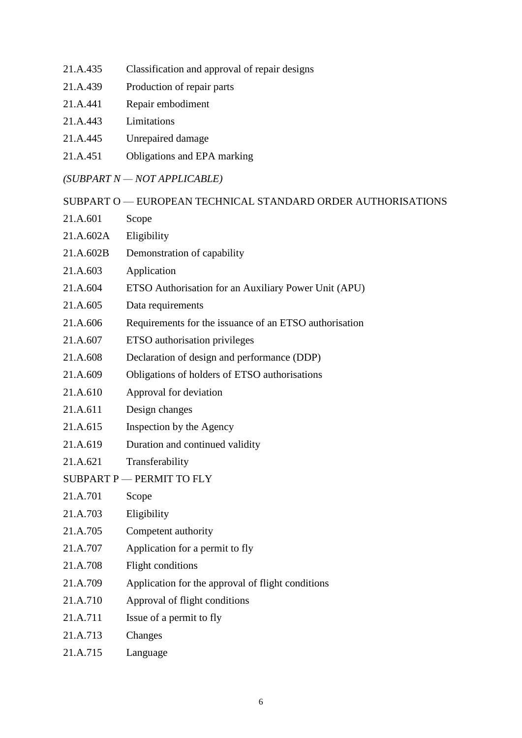- 21.A.435 Classification and approval of repair designs
- 21.A.439 Production of repair parts
- 21.A.441 Repair embodiment
- 21.A.443 Limitations
- 21.A.445 Unrepaired damage
- 21.A.451 Obligations and EPA marking

### *(SUBPART N — NOT APPLICABLE)*

SUBPART O — EUROPEAN TECHNICAL STANDARD ORDER AUTHORISATIONS

- 21.A.601 Scope
- 21.A.602A Eligibility
- 21.A.602B Demonstration of capability
- 21.A.603 Application
- 21.A.604 ETSO Authorisation for an Auxiliary Power Unit (APU)
- 21.A.605 Data requirements
- 21.A.606 Requirements for the issuance of an ETSO authorisation
- 21.A.607 ETSO authorisation privileges
- 21.A.608 Declaration of design and performance (DDP)
- 21.A.609 Obligations of holders of ETSO authorisations
- 21.A.610 Approval for deviation
- 21.A.611 Design changes
- 21.A.615 Inspection by the Agency
- 21.A.619 Duration and continued validity
- 21.A.621 Transferability
- SUBPART P PERMIT TO FLY
- 21.A.701 Scope
- 21.A.703 Eligibility
- 21.A.705 Competent authority
- 21.A.707 Application for a permit to fly
- 21.A.708 Flight conditions
- 21.A.709 Application for the approval of flight conditions
- 21.A.710 Approval of flight conditions
- 21.A.711 Issue of a permit to fly
- 21.A.713 Changes
- 21.A.715 Language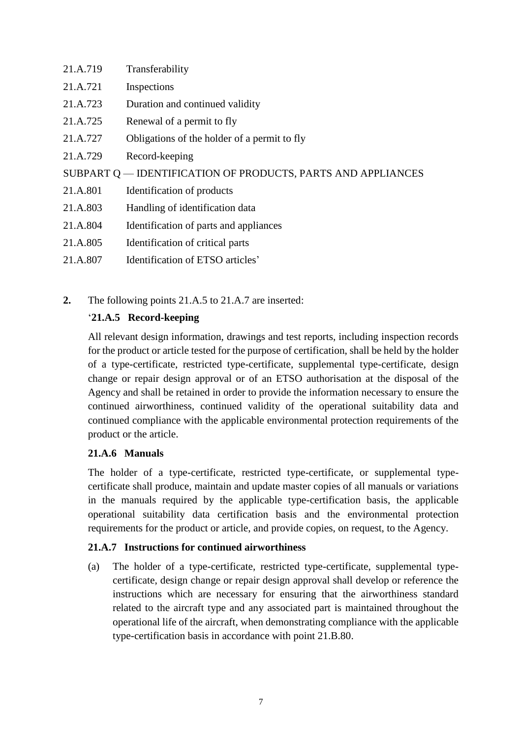| 21.A.719                                                     | Transferability                              |  |
|--------------------------------------------------------------|----------------------------------------------|--|
| 21.A.721                                                     | Inspections                                  |  |
| 21.A.723                                                     | Duration and continued validity              |  |
| 21.A.725                                                     | Renewal of a permit to fly                   |  |
| 21.A.727                                                     | Obligations of the holder of a permit to fly |  |
| 21.A.729                                                     | Record-keeping                               |  |
| SUBPART Q — IDENTIFICATION OF PRODUCTS, PARTS AND APPLIANCES |                                              |  |
| 21.A.801                                                     | Identification of products                   |  |
| 21.A.803                                                     | Handling of identification data              |  |
| 21.A.804                                                     | Identification of parts and appliances       |  |
| 21.A.805                                                     | Identification of critical parts             |  |
| 21.A.807                                                     | Identification of ETSO articles'             |  |

**2.** The following points 21.A.5 to 21.A.7 are inserted:

# '**21.A.5 Record-keeping**

All relevant design information, drawings and test reports, including inspection records for the product or article tested for the purpose of certification, shall be held by the holder of a type-certificate, restricted type-certificate, supplemental type-certificate, design change or repair design approval or of an ETSO authorisation at the disposal of the Agency and shall be retained in order to provide the information necessary to ensure the continued airworthiness, continued validity of the operational suitability data and continued compliance with the applicable environmental protection requirements of the product or the article.

# **21.A.6 Manuals**

The holder of a type-certificate, restricted type-certificate, or supplemental typecertificate shall produce, maintain and update master copies of all manuals or variations in the manuals required by the applicable type-certification basis, the applicable operational suitability data certification basis and the environmental protection requirements for the product or article, and provide copies, on request, to the Agency.

# **21.A.7 Instructions for continued airworthiness**

(a) The holder of a type-certificate, restricted type-certificate, supplemental typecertificate, design change or repair design approval shall develop or reference the instructions which are necessary for ensuring that the airworthiness standard related to the aircraft type and any associated part is maintained throughout the operational life of the aircraft, when demonstrating compliance with the applicable type-certification basis in accordance with point 21.B.80.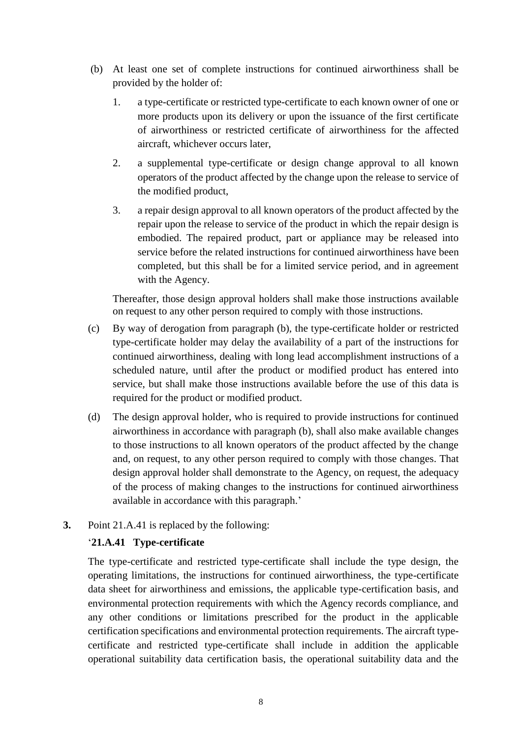- (b) At least one set of complete instructions for continued airworthiness shall be provided by the holder of:
	- 1. a type-certificate or restricted type-certificate to each known owner of one or more products upon its delivery or upon the issuance of the first certificate of airworthiness or restricted certificate of airworthiness for the affected aircraft, whichever occurs later
	- 2. a supplemental type-certificate or design change approval to all known operators of the product affected by the change upon the release to service of the modified product,
	- 3. a repair design approval to all known operators of the product affected by the repair upon the release to service of the product in which the repair design is embodied. The repaired product, part or appliance may be released into service before the related instructions for continued airworthiness have been completed, but this shall be for a limited service period, and in agreement with the Agency.

Thereafter, those design approval holders shall make those instructions available on request to any other person required to comply with those instructions.

- (c) By way of derogation from paragraph (b), the type-certificate holder or restricted type-certificate holder may delay the availability of a part of the instructions for continued airworthiness, dealing with long lead accomplishment instructions of a scheduled nature, until after the product or modified product has entered into service, but shall make those instructions available before the use of this data is required for the product or modified product.
- (d) The design approval holder, who is required to provide instructions for continued airworthiness in accordance with paragraph (b), shall also make available changes to those instructions to all known operators of the product affected by the change and, on request, to any other person required to comply with those changes. That design approval holder shall demonstrate to the Agency, on request, the adequacy of the process of making changes to the instructions for continued airworthiness available in accordance with this paragraph.'
- **3.** Point 21.A.41 is replaced by the following:

# '**21.A.41 Type-certificate**

The type-certificate and restricted type-certificate shall include the type design, the operating limitations, the instructions for continued airworthiness, the type-certificate data sheet for airworthiness and emissions, the applicable type-certification basis, and environmental protection requirements with which the Agency records compliance, and any other conditions or limitations prescribed for the product in the applicable certification specifications and environmental protection requirements. The aircraft typecertificate and restricted type-certificate shall include in addition the applicable operational suitability data certification basis, the operational suitability data and the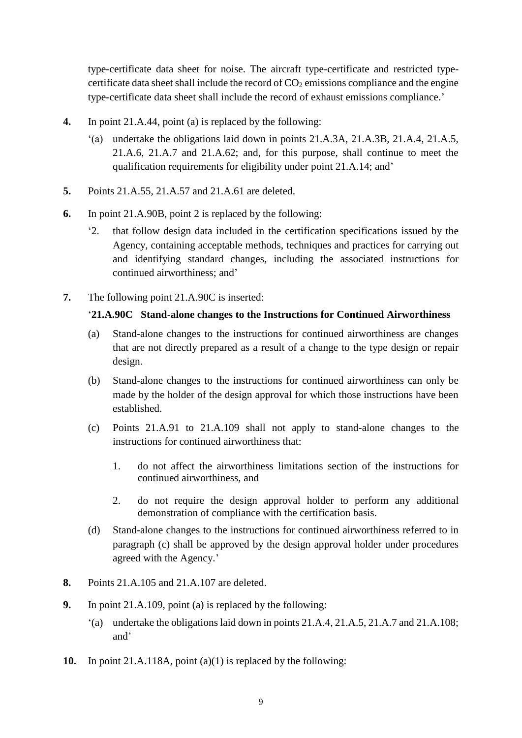type-certificate data sheet for noise. The aircraft type-certificate and restricted typecertificate data sheet shall include the record of  $CO<sub>2</sub>$  emissions compliance and the engine type-certificate data sheet shall include the record of exhaust emissions compliance.'

- **4.** In point 21.A.44, point (a) is replaced by the following:
	- '(a) undertake the obligations laid down in points 21.A.3A, 21.A.3B, 21.A.4, 21.A.5, 21.A.6, 21.A.7 and 21.A.62; and, for this purpose, shall continue to meet the qualification requirements for eligibility under point 21.A.14; and'
- **5.** Points 21.A.55, 21.A.57 and 21.A.61 are deleted.
- **6.** In point 21.A.90B, point 2 is replaced by the following:
	- '2. that follow design data included in the certification specifications issued by the Agency, containing acceptable methods, techniques and practices for carrying out and identifying standard changes, including the associated instructions for continued airworthiness; and'
- **7.** The following point 21.A.90C is inserted:

### '**21.A.90C Stand-alone changes to the Instructions for Continued Airworthiness**

- (a) Stand-alone changes to the instructions for continued airworthiness are changes that are not directly prepared as a result of a change to the type design or repair design.
- (b) Stand-alone changes to the instructions for continued airworthiness can only be made by the holder of the design approval for which those instructions have been established.
- (c) Points 21.A.91 to 21.A.109 shall not apply to stand-alone changes to the instructions for continued airworthiness that:
	- 1. do not affect the airworthiness limitations section of the instructions for continued airworthiness, and
	- 2. do not require the design approval holder to perform any additional demonstration of compliance with the certification basis.
- (d) Stand-alone changes to the instructions for continued airworthiness referred to in paragraph (c) shall be approved by the design approval holder under procedures agreed with the Agency.'
- **8.** Points 21.A.105 and 21.A.107 are deleted.
- **9.** In point 21.A.109, point (a) is replaced by the following:
	- '(a) undertake the obligations laid down in points 21.A.4, 21.A.5, 21.A.7 and 21.A.108; and'
- **10.** In point 21.A.118A, point (a)(1) is replaced by the following: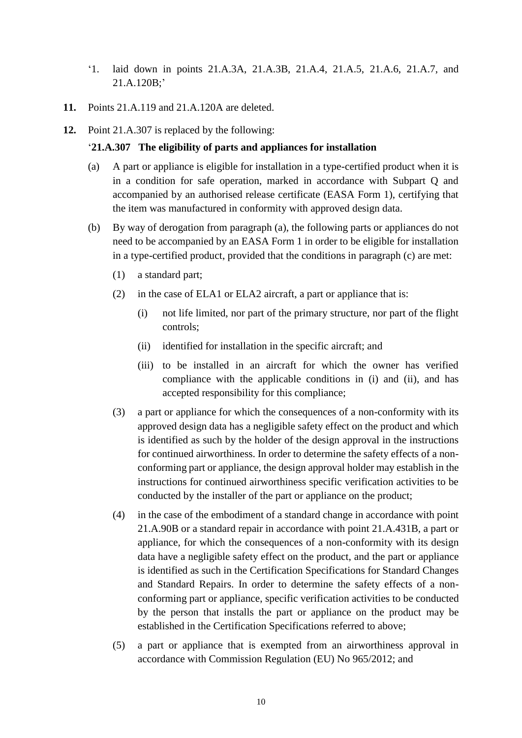- '1. laid down in points 21.A.3A, 21.A.3B, 21.A.4, 21.A.5, 21.A.6, 21.A.7, and 21.A.120B;'
- **11.** Points 21.A.119 and 21.A.120A are deleted.
- **12.** Point 21.A.307 is replaced by the following:

### '**21.A.307 The eligibility of parts and appliances for installation**

- (a) A part or appliance is eligible for installation in a type-certified product when it is in a condition for safe operation, marked in accordance with Subpart Q and accompanied by an authorised release certificate (EASA Form 1), certifying that the item was manufactured in conformity with approved design data.
- (b) By way of derogation from paragraph (a), the following parts or appliances do not need to be accompanied by an EASA Form 1 in order to be eligible for installation in a type-certified product, provided that the conditions in paragraph (c) are met:
	- (1) a standard part;
	- (2) in the case of ELA1 or ELA2 aircraft, a part or appliance that is:
		- (i) not life limited, nor part of the primary structure, nor part of the flight controls;
		- (ii) identified for installation in the specific aircraft; and
		- (iii) to be installed in an aircraft for which the owner has verified compliance with the applicable conditions in (i) and (ii), and has accepted responsibility for this compliance;
	- (3) a part or appliance for which the consequences of a non-conformity with its approved design data has a negligible safety effect on the product and which is identified as such by the holder of the design approval in the instructions for continued airworthiness. In order to determine the safety effects of a nonconforming part or appliance, the design approval holder may establish in the instructions for continued airworthiness specific verification activities to be conducted by the installer of the part or appliance on the product;
	- (4) in the case of the embodiment of a standard change in accordance with point 21.A.90B or a standard repair in accordance with point 21.A.431B, a part or appliance, for which the consequences of a non-conformity with its design data have a negligible safety effect on the product, and the part or appliance is identified as such in the Certification Specifications for Standard Changes and Standard Repairs. In order to determine the safety effects of a nonconforming part or appliance, specific verification activities to be conducted by the person that installs the part or appliance on the product may be established in the Certification Specifications referred to above;
	- (5) a part or appliance that is exempted from an airworthiness approval in accordance with Commission Regulation (EU) No 965/2012; and